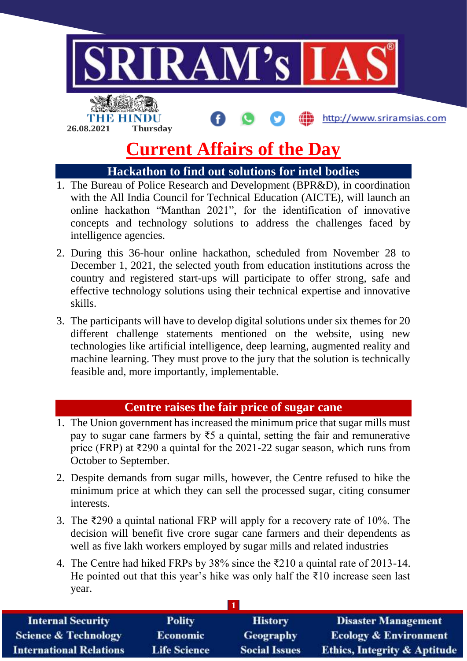

# **Current Affairs of the Day**

# **Hackathon to find out solutions for intel bodies**

- 1. The Bureau of Police Research and Development (BPR&D), in coordination with the All India Council for Technical Education (AICTE), will launch an online hackathon "Manthan 2021", for the identification of innovative concepts and technology solutions to address the challenges faced by intelligence agencies.
- 2. During this 36-hour online hackathon, scheduled from November 28 to December 1, 2021, the selected youth from education institutions across the country and registered start-ups will participate to offer strong, safe and effective technology solutions using their technical expertise and innovative skills.
- 3. The participants will have to develop digital solutions under six themes for 20 different challenge statements mentioned on the website, using new technologies like artificial intelligence, deep learning, augmented reality and machine learning. They must prove to the jury that the solution is technically feasible and, more importantly, implementable.

## **Centre raises the fair price of sugar cane**

- 1. The Union government has increased the minimum price that sugar mills must pay to sugar cane farmers by  $ξ5$  a quintal, setting the fair and remunerative price (FRP) at ₹290 a quintal for the 2021-22 sugar season, which runs from October to September.
- 2. Despite demands from sugar mills, however, the Centre refused to hike the minimum price at which they can sell the processed sugar, citing consumer interests.
- 3. The ₹290 a quintal national FRP will apply for a recovery rate of 10%. The decision will benefit five crore sugar cane farmers and their dependents as well as five lakh workers employed by sugar mills and related industries
- 4. The Centre had hiked FRPs by 38% since the ₹210 a quintal rate of 2013-14. He pointed out that this year's hike was only half the  $\bar{\tau}$ 10 increase seen last year.

| <b>Internal Security</b>        | <b>Polity</b>       | <b>History</b>       | <b>Disaster Management</b>              |
|---------------------------------|---------------------|----------------------|-----------------------------------------|
| <b>Science &amp; Technology</b> | <b>Economic</b>     | <b>Geography</b>     | <b>Ecology &amp; Environment</b>        |
| <b>International Relations</b>  | <b>Life Science</b> | <b>Social Issues</b> | <b>Ethics, Integrity &amp; Aptitude</b> |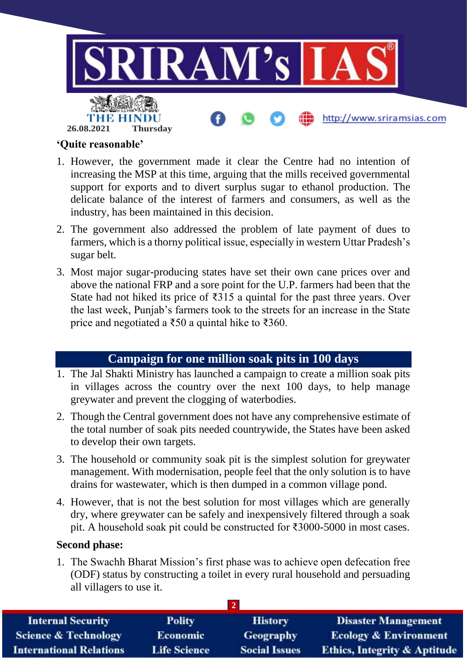

#### **'Quite reasonable'**

- 1. However, the government made it clear the Centre had no intention of increasing the MSP at this time, arguing that the mills received governmental support for exports and to divert surplus sugar to ethanol production. The delicate balance of the interest of farmers and consumers, as well as the industry, has been maintained in this decision.
- 2. The government also addressed the problem of late payment of dues to farmers, which is a thorny political issue, especially in western Uttar Pradesh's sugar belt.
- 3. Most major sugar-producing states have set their own cane prices over and above the national FRP and a sore point for the U.P. farmers had been that the State had not hiked its price of  $\overline{3}315$  a quintal for the past three years. Over the last week, Punjab's farmers took to the streets for an increase in the State price and negotiated a  $\overline{550}$  a quintal hike to  $\overline{5360}$ .

## **Campaign for one million soak pits in 100 days**

- 1. The Jal Shakti Ministry has launched a campaign to create a million soak pits in villages across the country over the next 100 days, to help manage greywater and prevent the clogging of waterbodies.
- 2. Though the Central government does not have any comprehensive estimate of the total number of soak pits needed countrywide, the States have been asked to develop their own targets.
- 3. The household or community soak pit is the simplest solution for greywater management. With modernisation, people feel that the only solution is to have drains for wastewater, which is then dumped in a common village pond.
- 4. However, that is not the best solution for most villages which are generally dry, where greywater can be safely and inexpensively filtered through a soak pit. A household soak pit could be constructed for ₹3000-5000 in most cases.

### **Second phase:**

1. The Swachh Bharat Mission's first phase was to achieve open defecation free (ODF) status by constructing a toilet in every rural household and persuading all villagers to use it.

| <b>Internal Security</b>        | <b>Polity</b>       | <b>History</b>       | <b>Disaster Management</b>              |
|---------------------------------|---------------------|----------------------|-----------------------------------------|
| <b>Science &amp; Technology</b> | <b>Economic</b>     | <b>Geography</b>     | <b>Ecology &amp; Environment</b>        |
| <b>International Relations</b>  | <b>Life Science</b> | <b>Social Issues</b> | <b>Ethics, Integrity &amp; Aptitude</b> |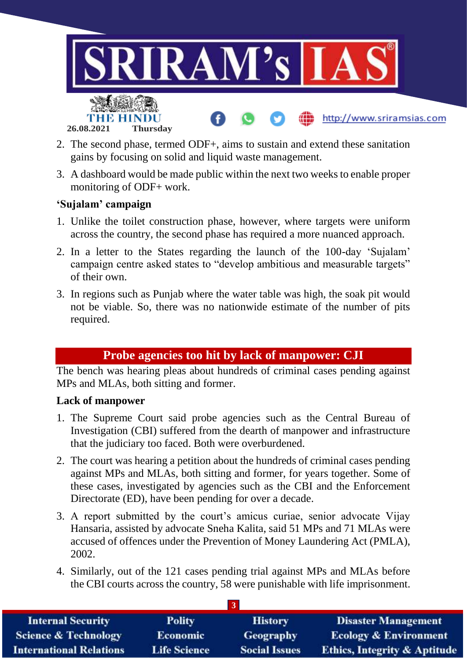

- 2. The second phase, termed ODF+, aims to sustain and extend these sanitation gains by focusing on solid and liquid waste management.
- 3. A dashboard would be made public within the next two weeks to enable proper monitoring of ODF+ work.

## **'Sujalam' campaign**

- 1. Unlike the toilet construction phase, however, where targets were uniform across the country, the second phase has required a more nuanced approach.
- 2. In a letter to the States regarding the launch of the 100-day 'Sujalam' campaign centre asked states to "develop ambitious and measurable targets" of their own.
- 3. In regions such as Punjab where the water table was high, the soak pit would not be viable. So, there was no nationwide estimate of the number of pits required.

# **Probe agencies too hit by lack of manpower: CJI**

The bench was hearing pleas about hundreds of criminal cases pending against MPs and MLAs, both sitting and former.

#### **Lack of manpower**

- 1. The Supreme Court said probe agencies such as the Central Bureau of Investigation (CBI) suffered from the dearth of manpower and infrastructure that the judiciary too faced. Both were overburdened.
- 2. The court was hearing a petition about the hundreds of criminal cases pending against MPs and MLAs, both sitting and former, for years together. Some of these cases, investigated by agencies such as the CBI and the Enforcement Directorate (ED), have been pending for over a decade.
- 3. A report submitted by the court's amicus curiae, senior advocate Vijay Hansaria, assisted by advocate Sneha Kalita, said 51 MPs and 71 MLAs were accused of offences under the Prevention of Money Laundering Act (PMLA), 2002.
- 4. Similarly, out of the 121 cases pending trial against MPs and MLAs before the CBI courts across the country, 58 were punishable with life imprisonment.

| <b>Internal Security</b>        | <b>Polity</b>       | <b>History</b>       | <b>Disaster Management</b>              |
|---------------------------------|---------------------|----------------------|-----------------------------------------|
| <b>Science &amp; Technology</b> | <b>Economic</b>     | Geography            | <b>Ecology &amp; Environment</b>        |
| <b>International Relations</b>  | <b>Life Science</b> | <b>Social Issues</b> | <b>Ethics, Integrity &amp; Aptitude</b> |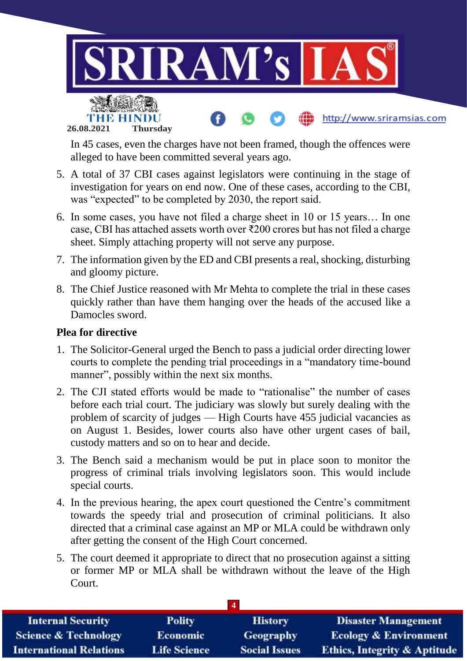

In 45 cases, even the charges have not been framed, though the offences were alleged to have been committed several years ago.

- 5. A total of 37 CBI cases against legislators were continuing in the stage of investigation for years on end now. One of these cases, according to the CBI, was "expected" to be completed by 2030, the report said.
- 6. In some cases, you have not filed a charge sheet in 10 or 15 years… In one case, CBI has attached assets worth over ₹200 crores but has not filed a charge sheet. Simply attaching property will not serve any purpose.
- 7. The information given by the ED and CBI presents a real, shocking, disturbing and gloomy picture.
- 8. The Chief Justice reasoned with Mr Mehta to complete the trial in these cases quickly rather than have them hanging over the heads of the accused like a Damocles sword.

#### **Plea for directive**

- 1. The Solicitor-General urged the Bench to pass a judicial order directing lower courts to complete the pending trial proceedings in a "mandatory time-bound manner", possibly within the next six months.
- 2. The CJI stated efforts would be made to "rationalise" the number of cases before each trial court. The judiciary was slowly but surely dealing with the problem of scarcity of judges — High Courts have 455 judicial vacancies as on August 1. Besides, lower courts also have other urgent cases of bail, custody matters and so on to hear and decide.
- 3. The Bench said a mechanism would be put in place soon to monitor the progress of criminal trials involving legislators soon. This would include special courts.
- 4. In the previous hearing, the apex court questioned the Centre's commitment towards the speedy trial and prosecution of criminal politicians. It also directed that a criminal case against an MP or MLA could be withdrawn only after getting the consent of the High Court concerned.
- 5. The court deemed it appropriate to direct that no prosecution against a sitting or former MP or MLA shall be withdrawn without the leave of the High Court.

| $\boldsymbol{\Lambda}$          |                     |                      |                                         |
|---------------------------------|---------------------|----------------------|-----------------------------------------|
| <b>Internal Security</b>        | <b>Polity</b>       | <b>History</b>       | <b>Disaster Management</b>              |
| <b>Science &amp; Technology</b> | <b>Economic</b>     | <b>Geography</b>     | <b>Ecology &amp; Environment</b>        |
| <b>International Relations</b>  | <b>Life Science</b> | <b>Social Issues</b> | <b>Ethics, Integrity &amp; Aptitude</b> |